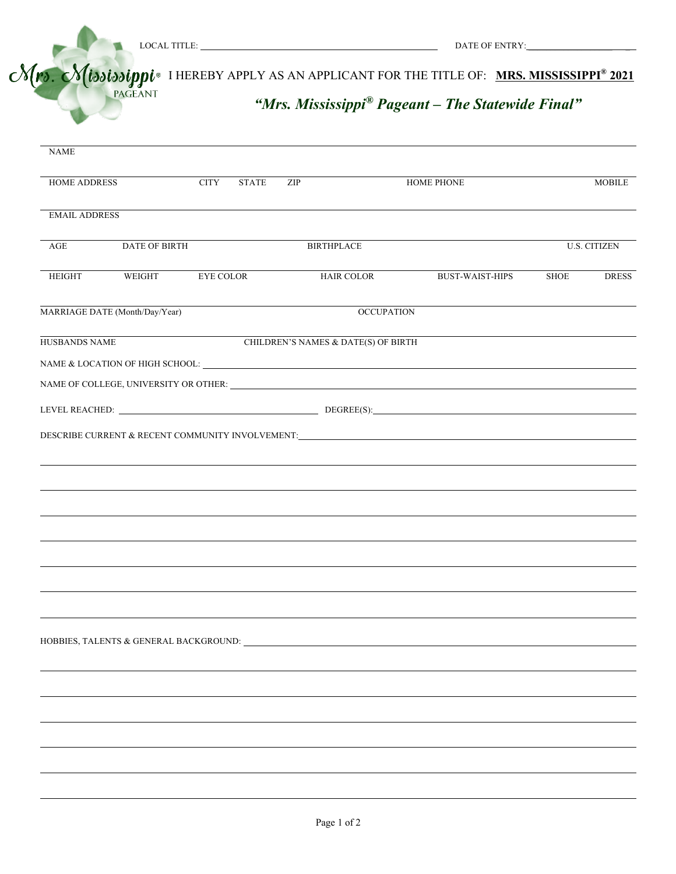

| <b>NAME</b><br><b>HOME ADDRESS</b><br><b>CITY</b><br>ZIP<br><b>HOME PHONE</b><br><b>STATE</b><br><b>EMAIL ADDRESS</b><br>DATE OF BIRTH<br><b>BIRTHPLACE</b><br><b>U.S. CITIZEN</b><br>AGE<br><b>HAIR COLOR</b><br><b>EYE COLOR</b><br>WEIGHT<br><b>BUST-WAIST-HIPS</b><br>HEIGHT<br>SHOE<br><b>OCCUPATION</b><br>CHILDREN'S NAMES & DATE(S) OF BIRTH |  |  | $\mathcal{N}(r)$ . $\mathcal{N}(isois_jppi)$ I HEREBY APPLY AS AN APPLICANT FOR THE TITLE OF: MRS. MISSISSIPPI <sup>®</sup> 2021 |               |
|------------------------------------------------------------------------------------------------------------------------------------------------------------------------------------------------------------------------------------------------------------------------------------------------------------------------------------------------------|--|--|----------------------------------------------------------------------------------------------------------------------------------|---------------|
| MARRIAGE DATE (Month/Day/Year)<br>HUSBANDS NAME                                                                                                                                                                                                                                                                                                      |  |  |                                                                                                                                  |               |
|                                                                                                                                                                                                                                                                                                                                                      |  |  |                                                                                                                                  | <b>MOBILE</b> |
|                                                                                                                                                                                                                                                                                                                                                      |  |  |                                                                                                                                  |               |
|                                                                                                                                                                                                                                                                                                                                                      |  |  |                                                                                                                                  |               |
|                                                                                                                                                                                                                                                                                                                                                      |  |  |                                                                                                                                  |               |
|                                                                                                                                                                                                                                                                                                                                                      |  |  |                                                                                                                                  |               |
|                                                                                                                                                                                                                                                                                                                                                      |  |  |                                                                                                                                  |               |
|                                                                                                                                                                                                                                                                                                                                                      |  |  |                                                                                                                                  |               |
|                                                                                                                                                                                                                                                                                                                                                      |  |  |                                                                                                                                  |               |
|                                                                                                                                                                                                                                                                                                                                                      |  |  |                                                                                                                                  |               |
|                                                                                                                                                                                                                                                                                                                                                      |  |  |                                                                                                                                  |               |
|                                                                                                                                                                                                                                                                                                                                                      |  |  |                                                                                                                                  |               |
|                                                                                                                                                                                                                                                                                                                                                      |  |  |                                                                                                                                  |               |
|                                                                                                                                                                                                                                                                                                                                                      |  |  |                                                                                                                                  |               |
|                                                                                                                                                                                                                                                                                                                                                      |  |  |                                                                                                                                  |               |
|                                                                                                                                                                                                                                                                                                                                                      |  |  |                                                                                                                                  |               |
|                                                                                                                                                                                                                                                                                                                                                      |  |  |                                                                                                                                  |               |
|                                                                                                                                                                                                                                                                                                                                                      |  |  |                                                                                                                                  |               |
|                                                                                                                                                                                                                                                                                                                                                      |  |  |                                                                                                                                  |               |
|                                                                                                                                                                                                                                                                                                                                                      |  |  |                                                                                                                                  |               |
|                                                                                                                                                                                                                                                                                                                                                      |  |  |                                                                                                                                  |               |
|                                                                                                                                                                                                                                                                                                                                                      |  |  |                                                                                                                                  |               |
|                                                                                                                                                                                                                                                                                                                                                      |  |  |                                                                                                                                  |               |
|                                                                                                                                                                                                                                                                                                                                                      |  |  |                                                                                                                                  |               |
|                                                                                                                                                                                                                                                                                                                                                      |  |  |                                                                                                                                  |               |
|                                                                                                                                                                                                                                                                                                                                                      |  |  |                                                                                                                                  |               |